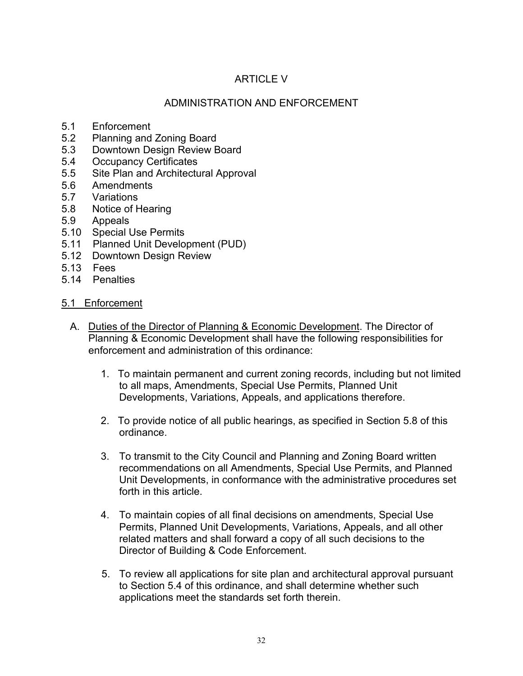# ARTICLE V

### ADMINISTRATION AND ENFORCEMENT

- 5.1 Enforcement
- 5.2 Planning and Zoning Board
- 5.3 Downtown Design Review Board
- 5.4 Occupancy Certificates
- 5.5 Site Plan and Architectural Approval<br>5.6 Amendments
- Amendments
- 5.7 Variations
- 5.8 Notice of Hearing
- 5.9 Appeals
- 5.10 Special Use Permits
- 5.11 Planned Unit Development (PUD)
- 5.12 Downtown Design Review
- 5.13 Fees
- 5.14 Penalties

#### 5.1 Enforcement

- A. Duties of the Director of Planning & Economic Development. The Director of Planning & Economic Development shall have the following responsibilities for enforcement and administration of this ordinance:
	- 1. To maintain permanent and current zoning records, including but not limited to all maps, Amendments, Special Use Permits, Planned Unit Developments, Variations, Appeals, and applications therefore.
	- 2. To provide notice of all public hearings, as specified in Section 5.8 of this ordinance.
	- 3. To transmit to the City Council and Planning and Zoning Board written recommendations on all Amendments, Special Use Permits, and Planned Unit Developments, in conformance with the administrative procedures set forth in this article.
	- 4. To maintain copies of all final decisions on amendments, Special Use Permits, Planned Unit Developments, Variations, Appeals, and all other related matters and shall forward a copy of all such decisions to the Director of Building & Code Enforcement.
	- 5. To review all applications for site plan and architectural approval pursuant to Section 5.4 of this ordinance, and shall determine whether such applications meet the standards set forth therein.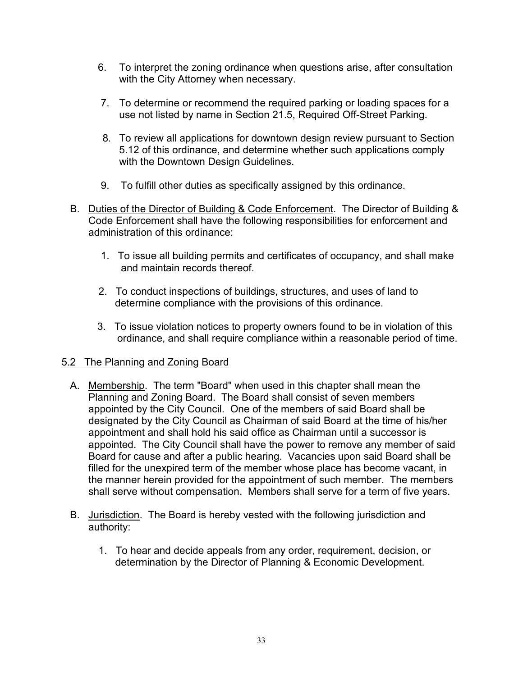- 6. To interpret the zoning ordinance when questions arise, after consultation with the City Attorney when necessary.
- 7. To determine or recommend the required parking or loading spaces for a use not listed by name in Section 21.5, Required Off-Street Parking.
- 8. To review all applications for downtown design review pursuant to Section 5.12 of this ordinance, and determine whether such applications comply with the Downtown Design Guidelines.
- 9. To fulfill other duties as specifically assigned by this ordinance.
- B. Duties of the Director of Building & Code Enforcement. The Director of Building & Code Enforcement shall have the following responsibilities for enforcement and administration of this ordinance:
	- 1. To issue all building permits and certificates of occupancy, and shall make and maintain records thereof.
	- 2. To conduct inspections of buildings, structures, and uses of land to determine compliance with the provisions of this ordinance.
	- 3. To issue violation notices to property owners found to be in violation of this ordinance, and shall require compliance within a reasonable period of time.

# 5.2 The Planning and Zoning Board

- A. Membership. The term "Board" when used in this chapter shall mean the Planning and Zoning Board. The Board shall consist of seven members appointed by the City Council. One of the members of said Board shall be designated by the City Council as Chairman of said Board at the time of his/her appointment and shall hold his said office as Chairman until a successor is appointed. The City Council shall have the power to remove any member of said Board for cause and after a public hearing. Vacancies upon said Board shall be filled for the unexpired term of the member whose place has become vacant, in the manner herein provided for the appointment of such member. The members shall serve without compensation. Members shall serve for a term of five years.
- B. Jurisdiction. The Board is hereby vested with the following jurisdiction and authority:
	- 1. To hear and decide appeals from any order, requirement, decision, or determination by the Director of Planning & Economic Development.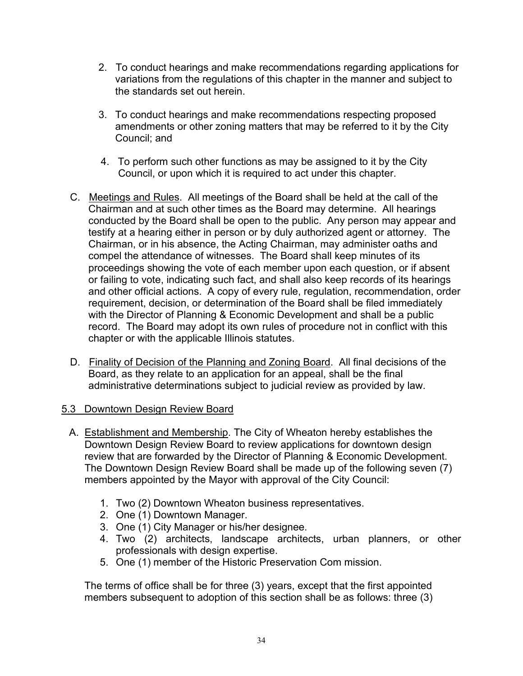- 2. To conduct hearings and make recommendations regarding applications for variations from the regulations of this chapter in the manner and subject to the standards set out herein.
- 3. To conduct hearings and make recommendations respecting proposed amendments or other zoning matters that may be referred to it by the City Council; and
- 4. To perform such other functions as may be assigned to it by the City Council, or upon which it is required to act under this chapter.
- C. Meetings and Rules. All meetings of the Board shall be held at the call of the Chairman and at such other times as the Board may determine. All hearings conducted by the Board shall be open to the public. Any person may appear and testify at a hearing either in person or by duly authorized agent or attorney. The Chairman, or in his absence, the Acting Chairman, may administer oaths and compel the attendance of witnesses. The Board shall keep minutes of its proceedings showing the vote of each member upon each question, or if absent or failing to vote, indicating such fact, and shall also keep records of its hearings and other official actions. A copy of every rule, regulation, recommendation, order requirement, decision, or determination of the Board shall be filed immediately with the Director of Planning & Economic Development and shall be a public record. The Board may adopt its own rules of procedure not in conflict with this chapter or with the applicable Illinois statutes.
- D. Finality of Decision of the Planning and Zoning Board. All final decisions of the Board, as they relate to an application for an appeal, shall be the final administrative determinations subject to judicial review as provided by law.

#### 5.3 Downtown Design Review Board

- A. Establishment and Membership. The City of Wheaton hereby establishes the Downtown Design Review Board to review applications for downtown design review that are forwarded by the Director of Planning & Economic Development. The Downtown Design Review Board shall be made up of the following seven (7) members appointed by the Mayor with approval of the City Council:
	- 1. Two (2) Downtown Wheaton business representatives.
	- 2. One (1) Downtown Manager.
	- 3. One (1) City Manager or his/her designee.
	- 4. Two (2) architects, landscape architects, urban planners, or other professionals with design expertise.
	- 5. One (1) member of the Historic Preservation Com mission.

The terms of office shall be for three (3) years, except that the first appointed members subsequent to adoption of this section shall be as follows: three (3)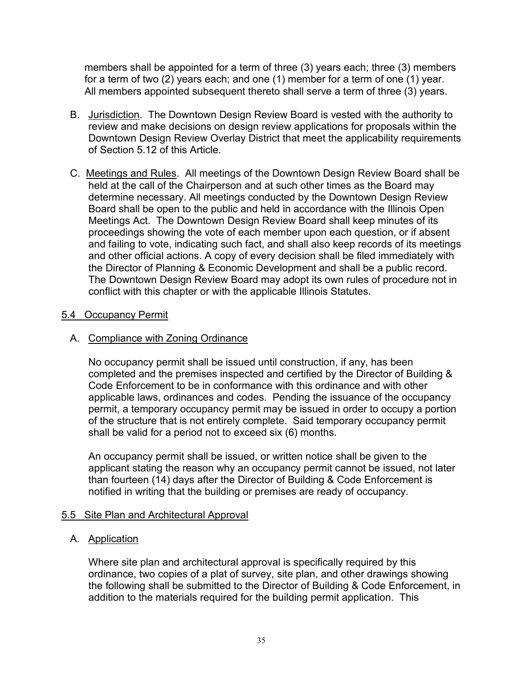members shall be appointed for a term of three (3) years each; three (3) members for a term of two (2) years each; and one (1) member for a term of one (1) year. All members appointed subsequent thereto shall serve a term of three (3) years.

- B. Jurisdiction. The Downtown Design Review Board is vested with the authority to review and make decisions on design review applications for proposals within the Downtown Design Review Overlay District that meet the applicability requirements of Section 5.12 of this Article.
- C. Meetings and Rules. All meetings of the Downtown Design Review Board shall be held at the call of the Chairperson and at such other times as the Board may determine necessary. All meetings conducted by the Downtown Design Review Board shall be open to the public and held in accordance with the Illinois Open Meetings Act. The Downtown Design Review Board shall keep minutes of its proceedings showing the vote of each member upon each question, or if absent and failing to vote, indicating such fact, and shall also keep records of its meetings and other official actions. A copy of every decision shall be filed immediately with the Director of Planning & Economic Development and shall be a public record. The Downtown Design Review Board may adopt its own rules of procedure not in conflict with this chapter or with the applicable Illinois Statutes.

#### 5.4 Occupancy Permit

### A. Compliance with Zoning Ordinance

No occupancy permit shall be issued until construction, if any, has been completed and the premises inspected and certified by the Director of Building & Code Enforcement to be in conformance with this ordinance and with other applicable laws, ordinances and codes. Pending the issuance of the occupancy permit, a temporary occupancy permit may be issued in order to occupy a portion of the structure that is not entirely complete. Said temporary occupancy permit shall be valid for a period not to exceed six (6) months.

An occupancy permit shall be issued, or written notice shall be given to the applicant stating the reason why an occupancy permit cannot be issued, not later than fourteen (14) days after the Director of Building & Code Enforcement is notified in writing that the building or premises are ready of occupancy.

#### 5.5 Site Plan and Architectural Approval

### A. Application

Where site plan and architectural approval is specifically required by this ordinance, two copies of a plat of survey, site plan, and other drawings showing the following shall be submitted to the Director of Building & Code Enforcement, in addition to the materials required for the building permit application. This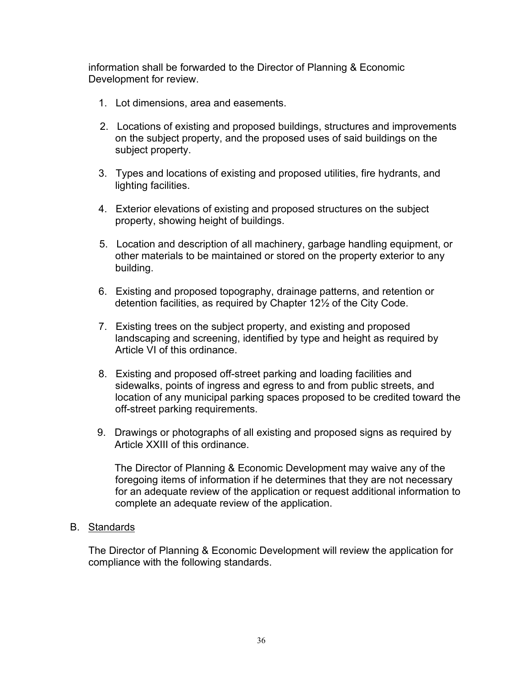information shall be forwarded to the Director of Planning & Economic Development for review.

- 1. Lot dimensions, area and easements.
- 2. Locations of existing and proposed buildings, structures and improvements on the subject property, and the proposed uses of said buildings on the subject property.
- 3. Types and locations of existing and proposed utilities, fire hydrants, and lighting facilities.
- 4. Exterior elevations of existing and proposed structures on the subject property, showing height of buildings.
- 5. Location and description of all machinery, garbage handling equipment, or other materials to be maintained or stored on the property exterior to any building.
- 6. Existing and proposed topography, drainage patterns, and retention or detention facilities, as required by Chapter 12½ of the City Code.
- 7. Existing trees on the subject property, and existing and proposed landscaping and screening, identified by type and height as required by Article VI of this ordinance.
- 8. Existing and proposed off-street parking and loading facilities and sidewalks, points of ingress and egress to and from public streets, and location of any municipal parking spaces proposed to be credited toward the off-street parking requirements.
- 9. Drawings or photographs of all existing and proposed signs as required by Article XXIII of this ordinance.

The Director of Planning & Economic Development may waive any of the foregoing items of information if he determines that they are not necessary for an adequate review of the application or request additional information to complete an adequate review of the application.

B. Standards

The Director of Planning & Economic Development will review the application for compliance with the following standards.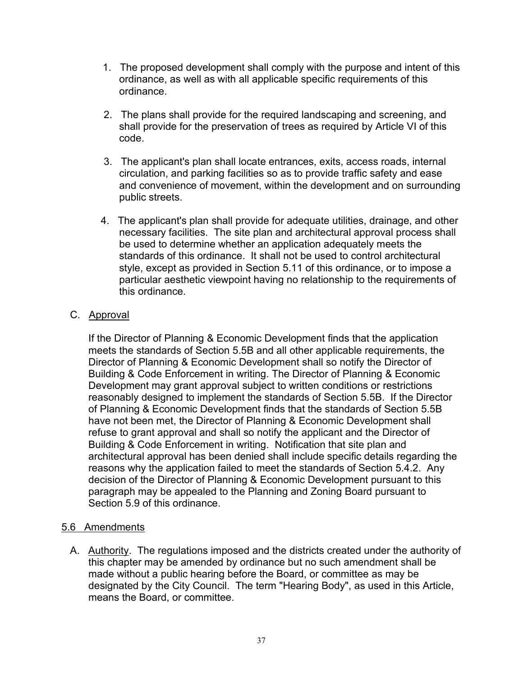- 1. The proposed development shall comply with the purpose and intent of this ordinance, as well as with all applicable specific requirements of this ordinance.
- 2. The plans shall provide for the required landscaping and screening, and shall provide for the preservation of trees as required by Article VI of this code.
- 3. The applicant's plan shall locate entrances, exits, access roads, internal circulation, and parking facilities so as to provide traffic safety and ease and convenience of movement, within the development and on surrounding public streets.
- 4. The applicant's plan shall provide for adequate utilities, drainage, and other necessary facilities. The site plan and architectural approval process shall be used to determine whether an application adequately meets the standards of this ordinance. It shall not be used to control architectural style, except as provided in Section 5.11 of this ordinance, or to impose a particular aesthetic viewpoint having no relationship to the requirements of this ordinance.

### C. Approval

If the Director of Planning & Economic Development finds that the application meets the standards of Section 5.5B and all other applicable requirements, the Director of Planning & Economic Development shall so notify the Director of Building & Code Enforcement in writing. The Director of Planning & Economic Development may grant approval subject to written conditions or restrictions reasonably designed to implement the standards of Section 5.5B. If the Director of Planning & Economic Development finds that the standards of Section 5.5B have not been met, the Director of Planning & Economic Development shall refuse to grant approval and shall so notify the applicant and the Director of Building & Code Enforcement in writing. Notification that site plan and architectural approval has been denied shall include specific details regarding the reasons why the application failed to meet the standards of Section 5.4.2. Any decision of the Director of Planning & Economic Development pursuant to this paragraph may be appealed to the Planning and Zoning Board pursuant to Section 5.9 of this ordinance.

# 5.6 Amendments

 A. Authority. The regulations imposed and the districts created under the authority of this chapter may be amended by ordinance but no such amendment shall be made without a public hearing before the Board, or committee as may be designated by the City Council. The term "Hearing Body", as used in this Article, means the Board, or committee.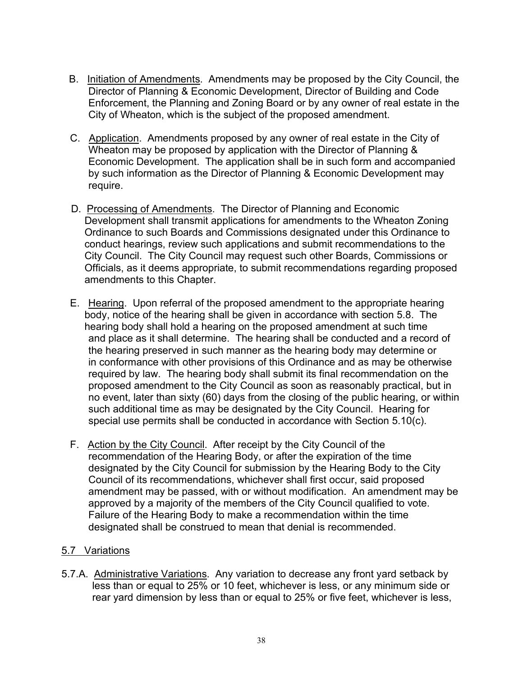- B. Initiation of Amendments. Amendments may be proposed by the City Council, the Director of Planning & Economic Development, Director of Building and Code Enforcement, the Planning and Zoning Board or by any owner of real estate in the City of Wheaton, which is the subject of the proposed amendment.
- C. Application. Amendments proposed by any owner of real estate in the City of Wheaton may be proposed by application with the Director of Planning & Economic Development. The application shall be in such form and accompanied by such information as the Director of Planning & Economic Development may require.
- D. Processing of Amendments. The Director of Planning and Economic Development shall transmit applications for amendments to the Wheaton Zoning Ordinance to such Boards and Commissions designated under this Ordinance to conduct hearings, review such applications and submit recommendations to the City Council. The City Council may request such other Boards, Commissions or Officials, as it deems appropriate, to submit recommendations regarding proposed amendments to this Chapter.
- E. Hearing. Upon referral of the proposed amendment to the appropriate hearing body, notice of the hearing shall be given in accordance with section 5.8. The hearing body shall hold a hearing on the proposed amendment at such time and place as it shall determine. The hearing shall be conducted and a record of the hearing preserved in such manner as the hearing body may determine or in conformance with other provisions of this Ordinance and as may be otherwise required by law. The hearing body shall submit its final recommendation on the proposed amendment to the City Council as soon as reasonably practical, but in no event, later than sixty (60) days from the closing of the public hearing, or within such additional time as may be designated by the City Council. Hearing for special use permits shall be conducted in accordance with Section 5.10(c).
- F. Action by the City Council. After receipt by the City Council of the recommendation of the Hearing Body, or after the expiration of the time designated by the City Council for submission by the Hearing Body to the City Council of its recommendations, whichever shall first occur, said proposed amendment may be passed, with or without modification. An amendment may be approved by a majority of the members of the City Council qualified to vote. Failure of the Hearing Body to make a recommendation within the time designated shall be construed to mean that denial is recommended.

### 5.7 Variations

5.7.A. Administrative Variations. Any variation to decrease any front yard setback by less than or equal to 25% or 10 feet, whichever is less, or any minimum side or rear yard dimension by less than or equal to 25% or five feet, whichever is less,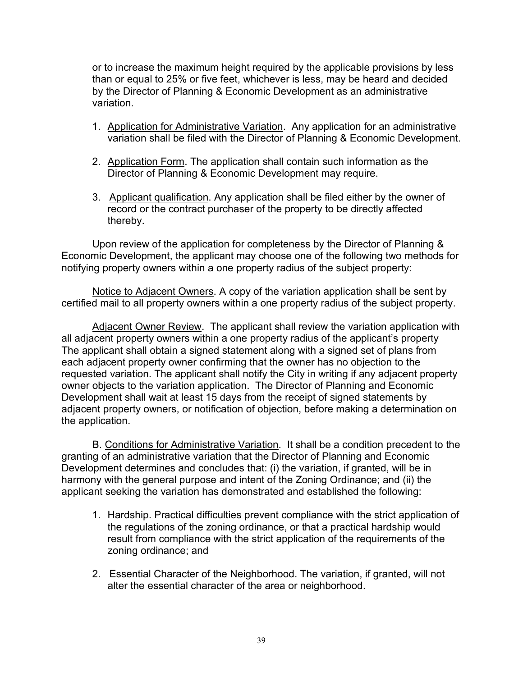or to increase the maximum height required by the applicable provisions by less than or equal to 25% or five feet, whichever is less, may be heard and decided by the Director of Planning & Economic Development as an administrative variation.

- 1. Application for Administrative Variation. Any application for an administrative variation shall be filed with the Director of Planning & Economic Development.
- 2. Application Form. The application shall contain such information as the Director of Planning & Economic Development may require.
- 3. Applicant qualification. Any application shall be filed either by the owner of record or the contract purchaser of the property to be directly affected thereby.

Upon review of the application for completeness by the Director of Planning & Economic Development, the applicant may choose one of the following two methods for notifying property owners within a one property radius of the subject property:

Notice to Adjacent Owners. A copy of the variation application shall be sent by certified mail to all property owners within a one property radius of the subject property.

Adjacent Owner Review. The applicant shall review the variation application with all adjacent property owners within a one property radius of the applicant's property The applicant shall obtain a signed statement along with a signed set of plans from each adjacent property owner confirming that the owner has no objection to the requested variation. The applicant shall notify the City in writing if any adjacent property owner objects to the variation application. The Director of Planning and Economic Development shall wait at least 15 days from the receipt of signed statements by adjacent property owners, or notification of objection, before making a determination on the application.

B. Conditions for Administrative Variation. It shall be a condition precedent to the granting of an administrative variation that the Director of Planning and Economic Development determines and concludes that: (i) the variation, if granted, will be in harmony with the general purpose and intent of the Zoning Ordinance; and (ii) the applicant seeking the variation has demonstrated and established the following:

- 1. Hardship. Practical difficulties prevent compliance with the strict application of the regulations of the zoning ordinance, or that a practical hardship would result from compliance with the strict application of the requirements of the zoning ordinance; and
- 2. Essential Character of the Neighborhood. The variation, if granted, will not alter the essential character of the area or neighborhood.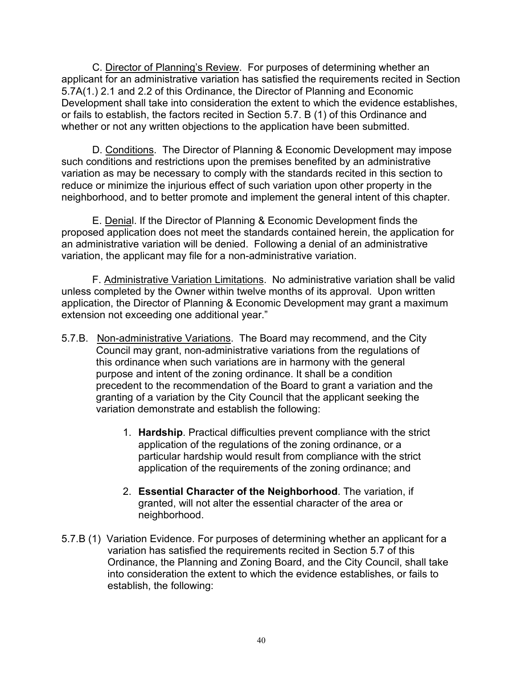C. Director of Planning's Review. For purposes of determining whether an applicant for an administrative variation has satisfied the requirements recited in Section 5.7A(1.) 2.1 and 2.2 of this Ordinance, the Director of Planning and Economic Development shall take into consideration the extent to which the evidence establishes, or fails to establish, the factors recited in Section 5.7. B (1) of this Ordinance and whether or not any written objections to the application have been submitted.

D. Conditions. The Director of Planning & Economic Development may impose such conditions and restrictions upon the premises benefited by an administrative variation as may be necessary to comply with the standards recited in this section to reduce or minimize the injurious effect of such variation upon other property in the neighborhood, and to better promote and implement the general intent of this chapter.

E. Denial. If the Director of Planning & Economic Development finds the proposed application does not meet the standards contained herein, the application for an administrative variation will be denied. Following a denial of an administrative variation, the applicant may file for a non-administrative variation.

F. Administrative Variation Limitations. No administrative variation shall be valid unless completed by the Owner within twelve months of its approval. Upon written application, the Director of Planning & Economic Development may grant a maximum extension not exceeding one additional year."

- 5.7.B. Non-administrative Variations. The Board may recommend, and the City Council may grant, non-administrative variations from the regulations of this ordinance when such variations are in harmony with the general purpose and intent of the zoning ordinance. It shall be a condition precedent to the recommendation of the Board to grant a variation and the granting of a variation by the City Council that the applicant seeking the variation demonstrate and establish the following:
	- 1. **Hardship**. Practical difficulties prevent compliance with the strict application of the regulations of the zoning ordinance, or a particular hardship would result from compliance with the strict application of the requirements of the zoning ordinance; and
	- 2. **Essential Character of the Neighborhood**. The variation, if granted, will not alter the essential character of the area or neighborhood.
- 5.7.B (1) Variation Evidence. For purposes of determining whether an applicant for a variation has satisfied the requirements recited in Section 5.7 of this Ordinance, the Planning and Zoning Board, and the City Council, shall take into consideration the extent to which the evidence establishes, or fails to establish, the following: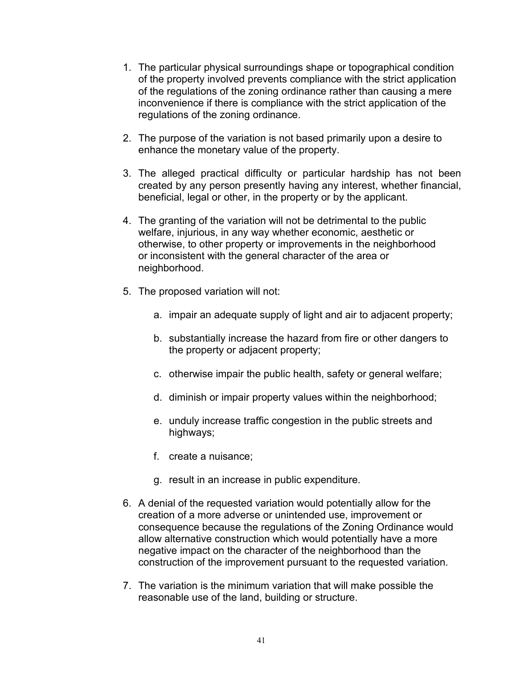- 1. The particular physical surroundings shape or topographical condition of the property involved prevents compliance with the strict application of the regulations of the zoning ordinance rather than causing a mere inconvenience if there is compliance with the strict application of the regulations of the zoning ordinance.
- 2. The purpose of the variation is not based primarily upon a desire to enhance the monetary value of the property.
- 3. The alleged practical difficulty or particular hardship has not been created by any person presently having any interest, whether financial, beneficial, legal or other, in the property or by the applicant.
- 4. The granting of the variation will not be detrimental to the public welfare, injurious, in any way whether economic, aesthetic or otherwise, to other property or improvements in the neighborhood or inconsistent with the general character of the area or neighborhood.
- 5. The proposed variation will not:
	- a. impair an adequate supply of light and air to adjacent property;
	- b. substantially increase the hazard from fire or other dangers to the property or adjacent property;
	- c. otherwise impair the public health, safety or general welfare;
	- d. diminish or impair property values within the neighborhood;
	- e. unduly increase traffic congestion in the public streets and highways;
	- f. create a nuisance;
	- g. result in an increase in public expenditure.
- 6. A denial of the requested variation would potentially allow for the creation of a more adverse or unintended use, improvement or consequence because the regulations of the Zoning Ordinance would allow alternative construction which would potentially have a more negative impact on the character of the neighborhood than the construction of the improvement pursuant to the requested variation.
- 7. The variation is the minimum variation that will make possible the reasonable use of the land, building or structure.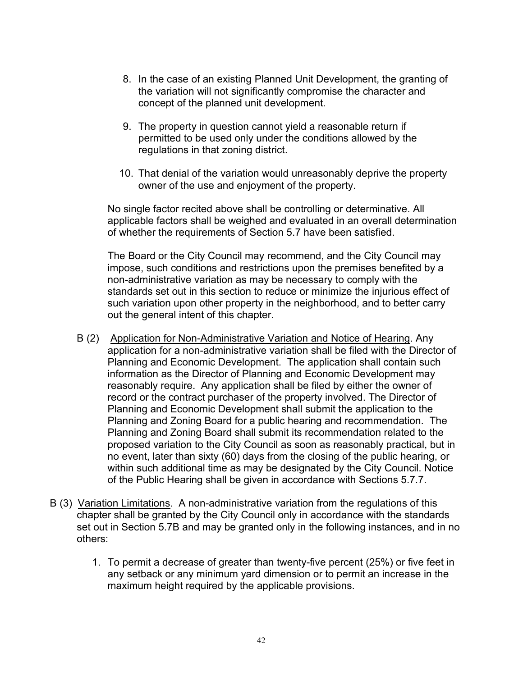- 8. In the case of an existing Planned Unit Development, the granting of the variation will not significantly compromise the character and concept of the planned unit development.
- 9. The property in question cannot yield a reasonable return if permitted to be used only under the conditions allowed by the regulations in that zoning district.
- 10. That denial of the variation would unreasonably deprive the property owner of the use and enjoyment of the property.

No single factor recited above shall be controlling or determinative. All applicable factors shall be weighed and evaluated in an overall determination of whether the requirements of Section 5.7 have been satisfied.

The Board or the City Council may recommend, and the City Council may impose, such conditions and restrictions upon the premises benefited by a non-administrative variation as may be necessary to comply with the standards set out in this section to reduce or minimize the injurious effect of such variation upon other property in the neighborhood, and to better carry out the general intent of this chapter.

- B (2) Application for Non-Administrative Variation and Notice of Hearing. Any application for a non-administrative variation shall be filed with the Director of Planning and Economic Development. The application shall contain such information as the Director of Planning and Economic Development may reasonably require. Any application shall be filed by either the owner of record or the contract purchaser of the property involved. The Director of Planning and Economic Development shall submit the application to the Planning and Zoning Board for a public hearing and recommendation. The Planning and Zoning Board shall submit its recommendation related to the proposed variation to the City Council as soon as reasonably practical, but in no event, later than sixty (60) days from the closing of the public hearing, or within such additional time as may be designated by the City Council. Notice of the Public Hearing shall be given in accordance with Sections 5.7.7.
- B (3) Variation Limitations. A non-administrative variation from the regulations of this chapter shall be granted by the City Council only in accordance with the standards set out in Section 5.7B and may be granted only in the following instances, and in no others:
	- 1. To permit a decrease of greater than twenty-five percent (25%) or five feet in any setback or any minimum yard dimension or to permit an increase in the maximum height required by the applicable provisions.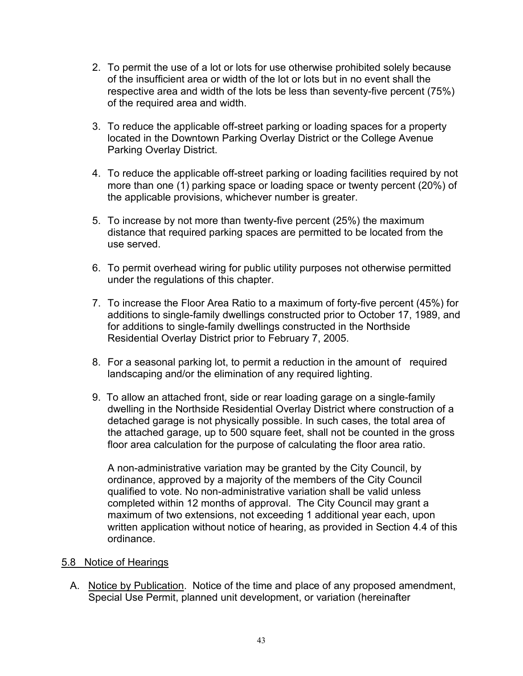- 2. To permit the use of a lot or lots for use otherwise prohibited solely because of the insufficient area or width of the lot or lots but in no event shall the respective area and width of the lots be less than seventy-five percent (75%) of the required area and width.
- 3. To reduce the applicable off-street parking or loading spaces for a property located in the Downtown Parking Overlay District or the College Avenue Parking Overlay District.
- 4. To reduce the applicable off-street parking or loading facilities required by not more than one (1) parking space or loading space or twenty percent (20%) of the applicable provisions, whichever number is greater.
- 5. To increase by not more than twenty-five percent (25%) the maximum distance that required parking spaces are permitted to be located from the use served.
- 6. To permit overhead wiring for public utility purposes not otherwise permitted under the regulations of this chapter.
- 7. To increase the Floor Area Ratio to a maximum of forty-five percent (45%) for additions to single-family dwellings constructed prior to October 17, 1989, and for additions to single-family dwellings constructed in the Northside Residential Overlay District prior to February 7, 2005.
- 8. For a seasonal parking lot, to permit a reduction in the amount of required landscaping and/or the elimination of any required lighting.
- 9. To allow an attached front, side or rear loading garage on a single-family dwelling in the Northside Residential Overlay District where construction of a detached garage is not physically possible. In such cases, the total area of the attached garage, up to 500 square feet, shall not be counted in the gross floor area calculation for the purpose of calculating the floor area ratio.

A non-administrative variation may be granted by the City Council, by ordinance, approved by a majority of the members of the City Council qualified to vote. No non-administrative variation shall be valid unless completed within 12 months of approval. The City Council may grant a maximum of two extensions, not exceeding 1 additional year each, upon written application without notice of hearing, as provided in Section 4.4 of this ordinance.

#### 5.8 Notice of Hearings

A. Notice by Publication. Notice of the time and place of any proposed amendment, Special Use Permit, planned unit development, or variation (hereinafter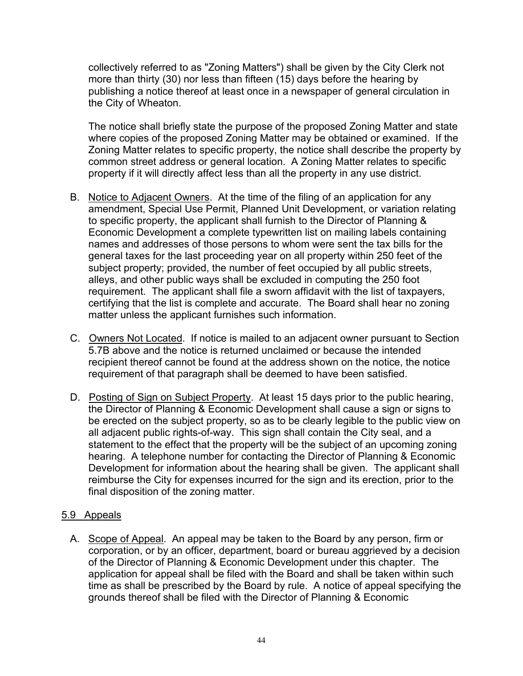collectively referred to as "Zoning Matters") shall be given by the City Clerk not more than thirty (30) nor less than fifteen (15) days before the hearing by publishing a notice thereof at least once in a newspaper of general circulation in the City of Wheaton.

The notice shall briefly state the purpose of the proposed Zoning Matter and state where copies of the proposed Zoning Matter may be obtained or examined. If the Zoning Matter relates to specific property, the notice shall describe the property by common street address or general location. A Zoning Matter relates to specific property if it will directly affect less than all the property in any use district.

- B. Notice to Adjacent Owners. At the time of the filing of an application for any amendment, Special Use Permit, Planned Unit Development, or variation relating to specific property, the applicant shall furnish to the Director of Planning & Economic Development a complete typewritten list on mailing labels containing names and addresses of those persons to whom were sent the tax bills for the general taxes for the last proceeding year on all property within 250 feet of the subject property; provided, the number of feet occupied by all public streets, alleys, and other public ways shall be excluded in computing the 250 foot requirement. The applicant shall file a sworn affidavit with the list of taxpayers, certifying that the list is complete and accurate. The Board shall hear no zoning matter unless the applicant furnishes such information.
- C. Owners Not Located. If notice is mailed to an adjacent owner pursuant to Section 5.7B above and the notice is returned unclaimed or because the intended recipient thereof cannot be found at the address shown on the notice, the notice requirement of that paragraph shall be deemed to have been satisfied.
- D. Posting of Sign on Subject Property. At least 15 days prior to the public hearing, the Director of Planning & Economic Development shall cause a sign or signs to be erected on the subject property, so as to be clearly legible to the public view on all adjacent public rights-of-way. This sign shall contain the City seal, and a statement to the effect that the property will be the subject of an upcoming zoning hearing. A telephone number for contacting the Director of Planning & Economic Development for information about the hearing shall be given. The applicant shall reimburse the City for expenses incurred for the sign and its erection, prior to the final disposition of the zoning matter.

### 5.9 Appeals

A. Scope of Appeal. An appeal may be taken to the Board by any person, firm or corporation, or by an officer, department, board or bureau aggrieved by a decision of the Director of Planning & Economic Development under this chapter. The application for appeal shall be filed with the Board and shall be taken within such time as shall be prescribed by the Board by rule. A notice of appeal specifying the grounds thereof shall be filed with the Director of Planning & Economic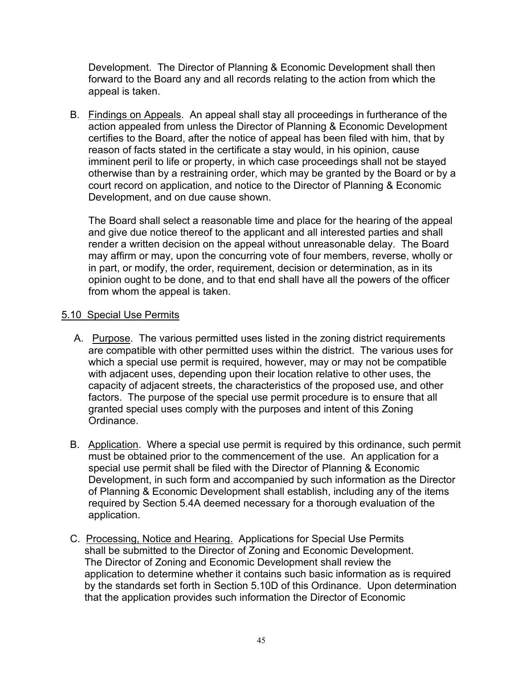Development. The Director of Planning & Economic Development shall then forward to the Board any and all records relating to the action from which the appeal is taken.

 B. Findings on Appeals. An appeal shall stay all proceedings in furtherance of the action appealed from unless the Director of Planning & Economic Development certifies to the Board, after the notice of appeal has been filed with him, that by reason of facts stated in the certificate a stay would, in his opinion, cause imminent peril to life or property, in which case proceedings shall not be stayed otherwise than by a restraining order, which may be granted by the Board or by a court record on application, and notice to the Director of Planning & Economic Development, and on due cause shown.

The Board shall select a reasonable time and place for the hearing of the appeal and give due notice thereof to the applicant and all interested parties and shall render a written decision on the appeal without unreasonable delay. The Board may affirm or may, upon the concurring vote of four members, reverse, wholly or in part, or modify, the order, requirement, decision or determination, as in its opinion ought to be done, and to that end shall have all the powers of the officer from whom the appeal is taken.

### 5.10 Special Use Permits

- A. Purpose. The various permitted uses listed in the zoning district requirements are compatible with other permitted uses within the district. The various uses for which a special use permit is required, however, may or may not be compatible with adjacent uses, depending upon their location relative to other uses, the capacity of adjacent streets, the characteristics of the proposed use, and other factors. The purpose of the special use permit procedure is to ensure that all granted special uses comply with the purposes and intent of this Zoning Ordinance.
- B. Application. Where a special use permit is required by this ordinance, such permit must be obtained prior to the commencement of the use. An application for a special use permit shall be filed with the Director of Planning & Economic Development, in such form and accompanied by such information as the Director of Planning & Economic Development shall establish, including any of the items required by Section 5.4A deemed necessary for a thorough evaluation of the application.
- C. Processing, Notice and Hearing. Applications for Special Use Permits shall be submitted to the Director of Zoning and Economic Development. The Director of Zoning and Economic Development shall review the application to determine whether it contains such basic information as is required by the standards set forth in Section 5.10D of this Ordinance. Upon determination that the application provides such information the Director of Economic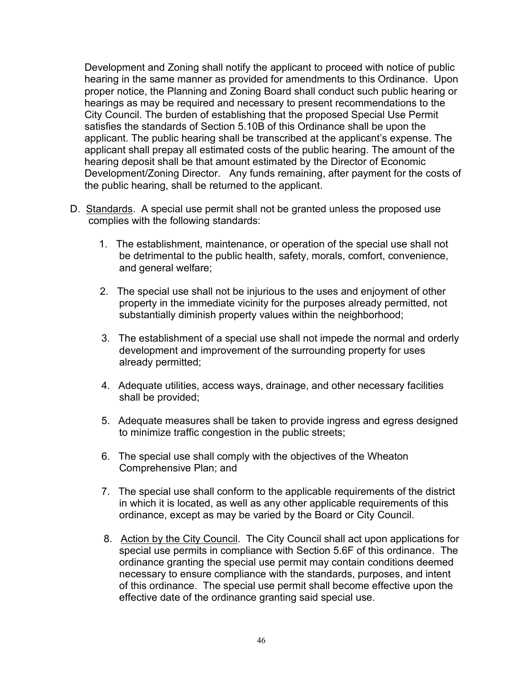Development and Zoning shall notify the applicant to proceed with notice of public hearing in the same manner as provided for amendments to this Ordinance. Upon proper notice, the Planning and Zoning Board shall conduct such public hearing or hearings as may be required and necessary to present recommendations to the City Council. The burden of establishing that the proposed Special Use Permit satisfies the standards of Section 5.10B of this Ordinance shall be upon the applicant. The public hearing shall be transcribed at the applicant's expense. The applicant shall prepay all estimated costs of the public hearing. The amount of the hearing deposit shall be that amount estimated by the Director of Economic Development/Zoning Director. Any funds remaining, after payment for the costs of the public hearing, shall be returned to the applicant.

- D. Standards. A special use permit shall not be granted unless the proposed use complies with the following standards:
	- 1. The establishment, maintenance, or operation of the special use shall not be detrimental to the public health, safety, morals, comfort, convenience, and general welfare;
	- 2. The special use shall not be injurious to the uses and enjoyment of other property in the immediate vicinity for the purposes already permitted, not substantially diminish property values within the neighborhood;
	- 3. The establishment of a special use shall not impede the normal and orderly development and improvement of the surrounding property for uses already permitted;
	- 4. Adequate utilities, access ways, drainage, and other necessary facilities shall be provided;
	- 5. Adequate measures shall be taken to provide ingress and egress designed to minimize traffic congestion in the public streets;
	- 6. The special use shall comply with the objectives of the Wheaton Comprehensive Plan; and
	- 7. The special use shall conform to the applicable requirements of the district in which it is located, as well as any other applicable requirements of this ordinance, except as may be varied by the Board or City Council.
	- 8. Action by the City Council. The City Council shall act upon applications for special use permits in compliance with Section 5.6F of this ordinance. The ordinance granting the special use permit may contain conditions deemed necessary to ensure compliance with the standards, purposes, and intent of this ordinance. The special use permit shall become effective upon the effective date of the ordinance granting said special use.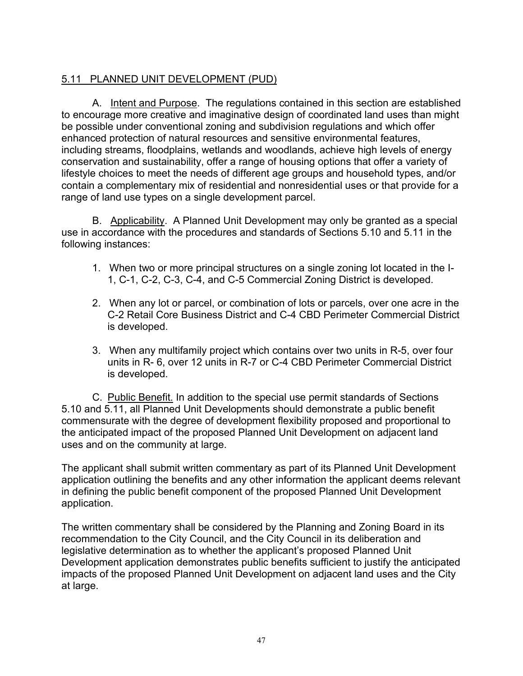# 5.11 PLANNED UNIT DEVELOPMENT (PUD)

A. Intent and Purpose. The regulations contained in this section are established to encourage more creative and imaginative design of coordinated land uses than might be possible under conventional zoning and subdivision regulations and which offer enhanced protection of natural resources and sensitive environmental features, including streams, floodplains, wetlands and woodlands, achieve high levels of energy conservation and sustainability, offer a range of housing options that offer a variety of lifestyle choices to meet the needs of different age groups and household types, and/or contain a complementary mix of residential and nonresidential uses or that provide for a range of land use types on a single development parcel.

B. Applicability. A Planned Unit Development may only be granted as a special use in accordance with the procedures and standards of Sections 5.10 and 5.11 in the following instances:

- 1. When two or more principal structures on a single zoning lot located in the I-1, C-1, C-2, C-3, C-4, and C-5 Commercial Zoning District is developed.
- 2. When any lot or parcel, or combination of lots or parcels, over one acre in the C-2 Retail Core Business District and C-4 CBD Perimeter Commercial District is developed.
- 3. When any multifamily project which contains over two units in R-5, over four units in R- 6, over 12 units in R-7 or C-4 CBD Perimeter Commercial District is developed.

C. Public Benefit. In addition to the special use permit standards of Sections 5.10 and 5.11, all Planned Unit Developments should demonstrate a public benefit commensurate with the degree of development flexibility proposed and proportional to the anticipated impact of the proposed Planned Unit Development on adjacent land uses and on the community at large.

The applicant shall submit written commentary as part of its Planned Unit Development application outlining the benefits and any other information the applicant deems relevant in defining the public benefit component of the proposed Planned Unit Development application.

The written commentary shall be considered by the Planning and Zoning Board in its recommendation to the City Council, and the City Council in its deliberation and legislative determination as to whether the applicant's proposed Planned Unit Development application demonstrates public benefits sufficient to justify the anticipated impacts of the proposed Planned Unit Development on adjacent land uses and the City at large.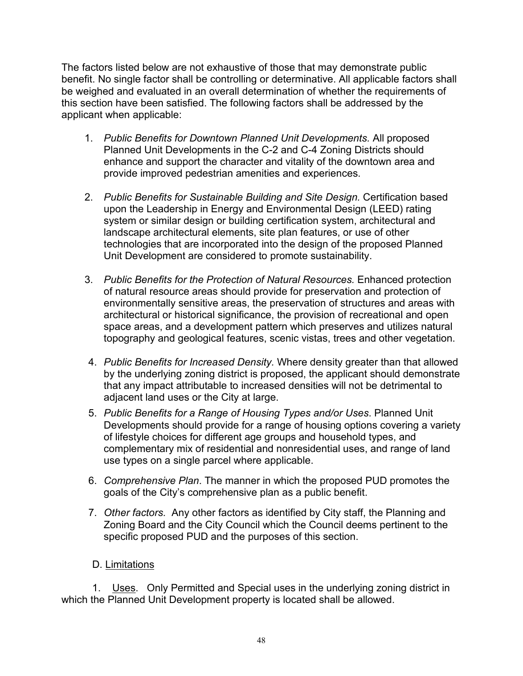The factors listed below are not exhaustive of those that may demonstrate public benefit. No single factor shall be controlling or determinative. All applicable factors shall be weighed and evaluated in an overall determination of whether the requirements of this section have been satisfied. The following factors shall be addressed by the applicant when applicable:

- 1. *Public Benefits for Downtown Planned Unit Developments.* All proposed Planned Unit Developments in the C-2 and C-4 Zoning Districts should enhance and support the character and vitality of the downtown area and provide improved pedestrian amenities and experiences.
- 2. *Public Benefits for Sustainable Building and Site Design.* Certification based upon the Leadership in Energy and Environmental Design (LEED) rating system or similar design or building certification system, architectural and landscape architectural elements, site plan features, or use of other technologies that are incorporated into the design of the proposed Planned Unit Development are considered to promote sustainability.
- 3. *Public Benefits for the Protection of Natural Resources.* Enhanced protection of natural resource areas should provide for preservation and protection of environmentally sensitive areas, the preservation of structures and areas with architectural or historical significance, the provision of recreational and open space areas, and a development pattern which preserves and utilizes natural topography and geological features, scenic vistas, trees and other vegetation.
- 4. *Public Benefits for Increased Density.* Where density greater than that allowed by the underlying zoning district is proposed, the applicant should demonstrate that any impact attributable to increased densities will not be detrimental to adjacent land uses or the City at large.
- 5. *Public Benefits for a Range of Housing Types and/or Uses*. Planned Unit Developments should provide for a range of housing options covering a variety of lifestyle choices for different age groups and household types, and complementary mix of residential and nonresidential uses, and range of land use types on a single parcel where applicable.
- 6. *Comprehensive Plan*. The manner in which the proposed PUD promotes the goals of the City's comprehensive plan as a public benefit.
- 7. *Other factors.* Any other factors as identified by City staff, the Planning and Zoning Board and the City Council which the Council deems pertinent to the specific proposed PUD and the purposes of this section.

### D. Limitations

1. Uses. Only Permitted and Special uses in the underlying zoning district in which the Planned Unit Development property is located shall be allowed.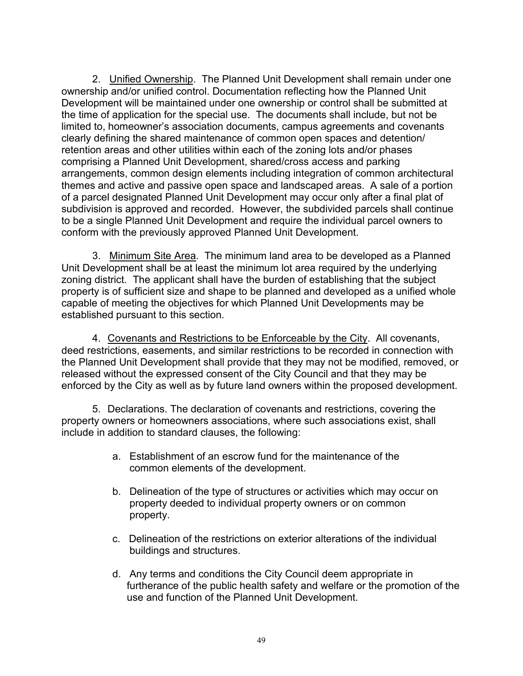2. Unified Ownership. The Planned Unit Development shall remain under one ownership and/or unified control. Documentation reflecting how the Planned Unit Development will be maintained under one ownership or control shall be submitted at the time of application for the special use. The documents shall include, but not be limited to, homeowner's association documents, campus agreements and covenants clearly defining the shared maintenance of common open spaces and detention/ retention areas and other utilities within each of the zoning lots and/or phases comprising a Planned Unit Development, shared/cross access and parking arrangements, common design elements including integration of common architectural themes and active and passive open space and landscaped areas. A sale of a portion of a parcel designated Planned Unit Development may occur only after a final plat of subdivision is approved and recorded. However, the subdivided parcels shall continue to be a single Planned Unit Development and require the individual parcel owners to conform with the previously approved Planned Unit Development.

3. Minimum Site Area. The minimum land area to be developed as a Planned Unit Development shall be at least the minimum lot area required by the underlying zoning district. The applicant shall have the burden of establishing that the subject property is of sufficient size and shape to be planned and developed as a unified whole capable of meeting the objectives for which Planned Unit Developments may be established pursuant to this section.

4. Covenants and Restrictions to be Enforceable by the City. All covenants, deed restrictions, easements, and similar restrictions to be recorded in connection with the Planned Unit Development shall provide that they may not be modified, removed, or released without the expressed consent of the City Council and that they may be enforced by the City as well as by future land owners within the proposed development.

5. Declarations. The declaration of covenants and restrictions, covering the property owners or homeowners associations, where such associations exist, shall include in addition to standard clauses, the following:

- a. Establishment of an escrow fund for the maintenance of the common elements of the development.
- b. Delineation of the type of structures or activities which may occur on property deeded to individual property owners or on common property.
- c. Delineation of the restrictions on exterior alterations of the individual buildings and structures.
- d. Any terms and conditions the City Council deem appropriate in furtherance of the public health safety and welfare or the promotion of the use and function of the Planned Unit Development.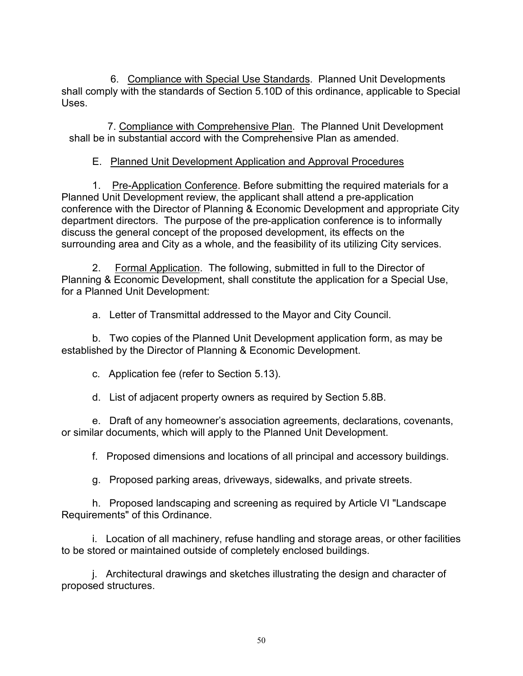6. Compliance with Special Use Standards. Planned Unit Developments shall comply with the standards of Section 5.10D of this ordinance, applicable to Special Uses.

7. Compliance with Comprehensive Plan. The Planned Unit Development shall be in substantial accord with the Comprehensive Plan as amended.

### E. Planned Unit Development Application and Approval Procedures

1. Pre-Application Conference. Before submitting the required materials for a Planned Unit Development review, the applicant shall attend a pre-application conference with the Director of Planning & Economic Development and appropriate City department directors. The purpose of the pre-application conference is to informally discuss the general concept of the proposed development, its effects on the surrounding area and City as a whole, and the feasibility of its utilizing City services.

2. Formal Application. The following, submitted in full to the Director of Planning & Economic Development, shall constitute the application for a Special Use, for a Planned Unit Development:

a. Letter of Transmittal addressed to the Mayor and City Council.

b. Two copies of the Planned Unit Development application form, as may be established by the Director of Planning & Economic Development.

c. Application fee (refer to Section 5.13).

d. List of adjacent property owners as required by Section 5.8B.

e. Draft of any homeowner's association agreements, declarations, covenants, or similar documents, which will apply to the Planned Unit Development.

f. Proposed dimensions and locations of all principal and accessory buildings.

g. Proposed parking areas, driveways, sidewalks, and private streets.

h. Proposed landscaping and screening as required by Article VI "Landscape Requirements" of this Ordinance.

i. Location of all machinery, refuse handling and storage areas, or other facilities to be stored or maintained outside of completely enclosed buildings.

j. Architectural drawings and sketches illustrating the design and character of proposed structures.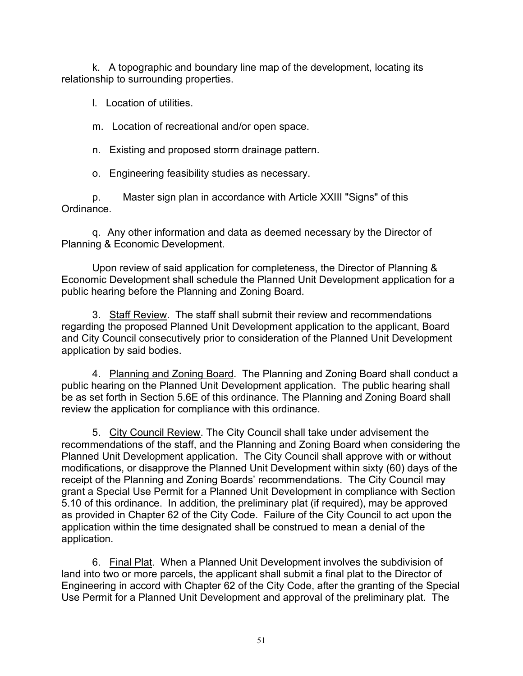k. A topographic and boundary line map of the development, locating its relationship to surrounding properties.

l. Location of utilities.

m. Location of recreational and/or open space.

n. Existing and proposed storm drainage pattern.

o. Engineering feasibility studies as necessary.

p. Master sign plan in accordance with Article XXIII "Signs" of this Ordinance.

q. Any other information and data as deemed necessary by the Director of Planning & Economic Development.

Upon review of said application for completeness, the Director of Planning & Economic Development shall schedule the Planned Unit Development application for a public hearing before the Planning and Zoning Board.

3. Staff Review. The staff shall submit their review and recommendations regarding the proposed Planned Unit Development application to the applicant, Board and City Council consecutively prior to consideration of the Planned Unit Development application by said bodies.

4. Planning and Zoning Board. The Planning and Zoning Board shall conduct a public hearing on the Planned Unit Development application. The public hearing shall be as set forth in Section 5.6E of this ordinance. The Planning and Zoning Board shall review the application for compliance with this ordinance.

5. City Council Review. The City Council shall take under advisement the recommendations of the staff, and the Planning and Zoning Board when considering the Planned Unit Development application. The City Council shall approve with or without modifications, or disapprove the Planned Unit Development within sixty (60) days of the receipt of the Planning and Zoning Boards' recommendations. The City Council may grant a Special Use Permit for a Planned Unit Development in compliance with Section 5.10 of this ordinance. In addition, the preliminary plat (if required), may be approved as provided in Chapter 62 of the City Code. Failure of the City Council to act upon the application within the time designated shall be construed to mean a denial of the application.

6. Final Plat. When a Planned Unit Development involves the subdivision of land into two or more parcels, the applicant shall submit a final plat to the Director of Engineering in accord with Chapter 62 of the City Code, after the granting of the Special Use Permit for a Planned Unit Development and approval of the preliminary plat. The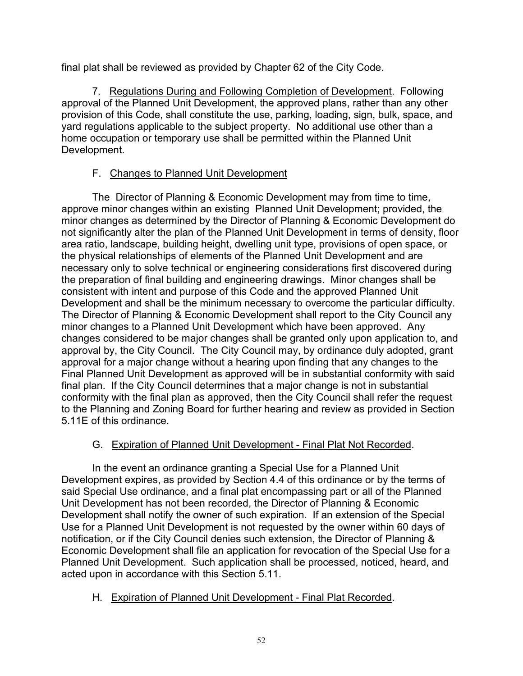final plat shall be reviewed as provided by Chapter 62 of the City Code.

7. Regulations During and Following Completion of Development. Following approval of the Planned Unit Development, the approved plans, rather than any other provision of this Code, shall constitute the use, parking, loading, sign, bulk, space, and yard regulations applicable to the subject property. No additional use other than a home occupation or temporary use shall be permitted within the Planned Unit Development.

# F. Changes to Planned Unit Development

The Director of Planning & Economic Development may from time to time, approve minor changes within an existing Planned Unit Development; provided, the minor changes as determined by the Director of Planning & Economic Development do not significantly alter the plan of the Planned Unit Development in terms of density, floor area ratio, landscape, building height, dwelling unit type, provisions of open space, or the physical relationships of elements of the Planned Unit Development and are necessary only to solve technical or engineering considerations first discovered during the preparation of final building and engineering drawings. Minor changes shall be consistent with intent and purpose of this Code and the approved Planned Unit Development and shall be the minimum necessary to overcome the particular difficulty. The Director of Planning & Economic Development shall report to the City Council any minor changes to a Planned Unit Development which have been approved. Any changes considered to be major changes shall be granted only upon application to, and approval by, the City Council. The City Council may, by ordinance duly adopted, grant approval for a major change without a hearing upon finding that any changes to the Final Planned Unit Development as approved will be in substantial conformity with said final plan. If the City Council determines that a major change is not in substantial conformity with the final plan as approved, then the City Council shall refer the request to the Planning and Zoning Board for further hearing and review as provided in Section 5.11E of this ordinance.

### G. Expiration of Planned Unit Development - Final Plat Not Recorded.

In the event an ordinance granting a Special Use for a Planned Unit Development expires, as provided by Section 4.4 of this ordinance or by the terms of said Special Use ordinance, and a final plat encompassing part or all of the Planned Unit Development has not been recorded, the Director of Planning & Economic Development shall notify the owner of such expiration. If an extension of the Special Use for a Planned Unit Development is not requested by the owner within 60 days of notification, or if the City Council denies such extension, the Director of Planning & Economic Development shall file an application for revocation of the Special Use for a Planned Unit Development. Such application shall be processed, noticed, heard, and acted upon in accordance with this Section 5.11.

### H. Expiration of Planned Unit Development - Final Plat Recorded.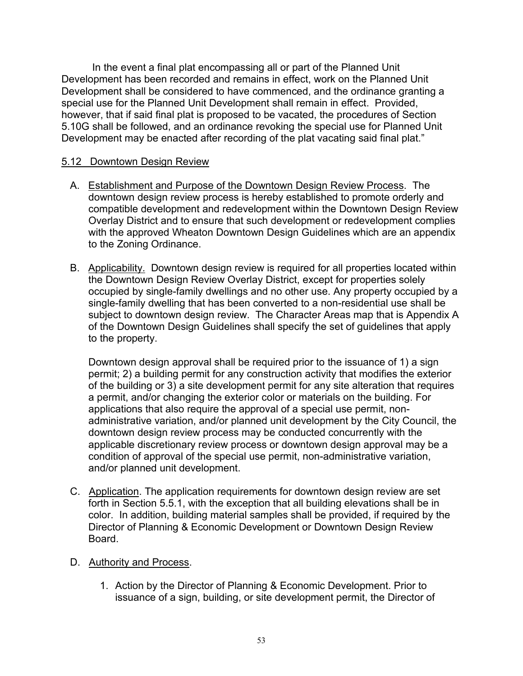In the event a final plat encompassing all or part of the Planned Unit Development has been recorded and remains in effect, work on the Planned Unit Development shall be considered to have commenced, and the ordinance granting a special use for the Planned Unit Development shall remain in effect. Provided, however, that if said final plat is proposed to be vacated, the procedures of Section 5.10G shall be followed, and an ordinance revoking the special use for Planned Unit Development may be enacted after recording of the plat vacating said final plat."

### 5.12 Downtown Design Review

- A. Establishment and Purpose of the Downtown Design Review Process. The downtown design review process is hereby established to promote orderly and compatible development and redevelopment within the Downtown Design Review Overlay District and to ensure that such development or redevelopment complies with the approved Wheaton Downtown Design Guidelines which are an appendix to the Zoning Ordinance.
- B. Applicability. Downtown design review is required for all properties located within the Downtown Design Review Overlay District, except for properties solely occupied by single-family dwellings and no other use. Any property occupied by a single-family dwelling that has been converted to a non-residential use shall be subject to downtown design review. The Character Areas map that is Appendix A of the Downtown Design Guidelines shall specify the set of guidelines that apply to the property.

Downtown design approval shall be required prior to the issuance of 1) a sign permit; 2) a building permit for any construction activity that modifies the exterior of the building or 3) a site development permit for any site alteration that requires a permit, and/or changing the exterior color or materials on the building. For applications that also require the approval of a special use permit, nonadministrative variation, and/or planned unit development by the City Council, the downtown design review process may be conducted concurrently with the applicable discretionary review process or downtown design approval may be a condition of approval of the special use permit, non-administrative variation, and/or planned unit development.

 C. Application. The application requirements for downtown design review are set forth in Section 5.5.1, with the exception that all building elevations shall be in color. In addition, building material samples shall be provided, if required by the Director of Planning & Economic Development or Downtown Design Review Board.

### D. Authority and Process.

1. Action by the Director of Planning & Economic Development. Prior to issuance of a sign, building, or site development permit, the Director of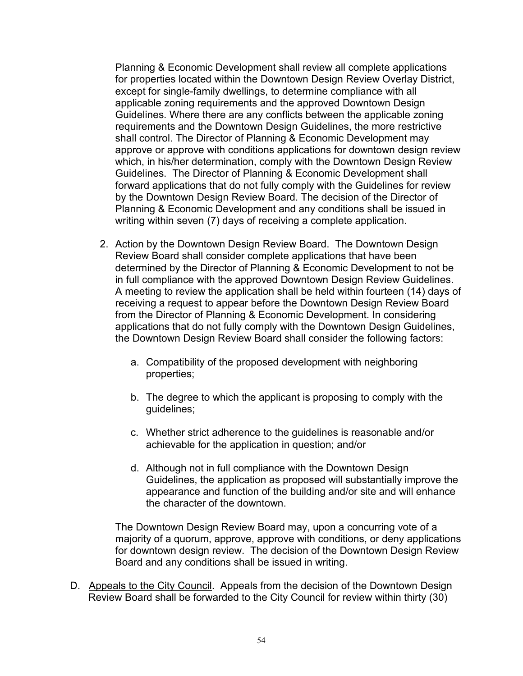Planning & Economic Development shall review all complete applications for properties located within the Downtown Design Review Overlay District, except for single-family dwellings, to determine compliance with all applicable zoning requirements and the approved Downtown Design Guidelines. Where there are any conflicts between the applicable zoning requirements and the Downtown Design Guidelines, the more restrictive shall control. The Director of Planning & Economic Development may approve or approve with conditions applications for downtown design review which, in his/her determination, comply with the Downtown Design Review Guidelines. The Director of Planning & Economic Development shall forward applications that do not fully comply with the Guidelines for review by the Downtown Design Review Board. The decision of the Director of Planning & Economic Development and any conditions shall be issued in writing within seven (7) days of receiving a complete application.

- 2. Action by the Downtown Design Review Board. The Downtown Design Review Board shall consider complete applications that have been determined by the Director of Planning & Economic Development to not be in full compliance with the approved Downtown Design Review Guidelines. A meeting to review the application shall be held within fourteen (14) days of receiving a request to appear before the Downtown Design Review Board from the Director of Planning & Economic Development. In considering applications that do not fully comply with the Downtown Design Guidelines, the Downtown Design Review Board shall consider the following factors:
	- a. Compatibility of the proposed development with neighboring properties;
	- b. The degree to which the applicant is proposing to comply with the guidelines;
	- c. Whether strict adherence to the guidelines is reasonable and/or achievable for the application in question; and/or
	- d. Although not in full compliance with the Downtown Design Guidelines, the application as proposed will substantially improve the appearance and function of the building and/or site and will enhance the character of the downtown.

The Downtown Design Review Board may, upon a concurring vote of a majority of a quorum, approve, approve with conditions, or deny applications for downtown design review. The decision of the Downtown Design Review Board and any conditions shall be issued in writing.

D. Appeals to the City Council. Appeals from the decision of the Downtown Design Review Board shall be forwarded to the City Council for review within thirty (30)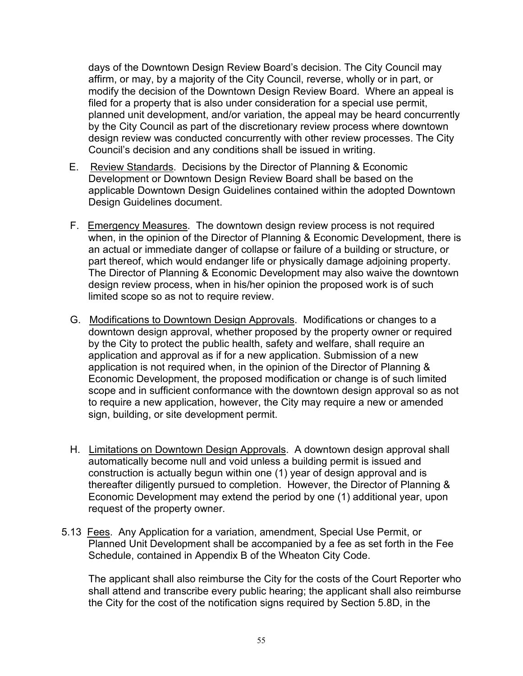days of the Downtown Design Review Board's decision. The City Council may affirm, or may, by a majority of the City Council, reverse, wholly or in part, or modify the decision of the Downtown Design Review Board. Where an appeal is filed for a property that is also under consideration for a special use permit, planned unit development, and/or variation, the appeal may be heard concurrently by the City Council as part of the discretionary review process where downtown design review was conducted concurrently with other review processes. The City Council's decision and any conditions shall be issued in writing.

- E. Review Standards. Decisions by the Director of Planning & Economic Development or Downtown Design Review Board shall be based on the applicable Downtown Design Guidelines contained within the adopted Downtown Design Guidelines document.
- F. Emergency Measures. The downtown design review process is not required when, in the opinion of the Director of Planning & Economic Development, there is an actual or immediate danger of collapse or failure of a building or structure, or part thereof, which would endanger life or physically damage adjoining property. The Director of Planning & Economic Development may also waive the downtown design review process, when in his/her opinion the proposed work is of such limited scope so as not to require review.
- G. Modifications to Downtown Design Approvals. Modifications or changes to a downtown design approval, whether proposed by the property owner or required by the City to protect the public health, safety and welfare, shall require an application and approval as if for a new application. Submission of a new application is not required when, in the opinion of the Director of Planning & Economic Development, the proposed modification or change is of such limited scope and in sufficient conformance with the downtown design approval so as not to require a new application, however, the City may require a new or amended sign, building, or site development permit.
- H. Limitations on Downtown Design Approvals. A downtown design approval shall automatically become null and void unless a building permit is issued and construction is actually begun within one (1) year of design approval and is thereafter diligently pursued to completion. However, the Director of Planning & Economic Development may extend the period by one (1) additional year, upon request of the property owner.
- 5.13 Fees. Any Application for a variation, amendment, Special Use Permit, or Planned Unit Development shall be accompanied by a fee as set forth in the Fee Schedule, contained in Appendix B of the Wheaton City Code.

The applicant shall also reimburse the City for the costs of the Court Reporter who shall attend and transcribe every public hearing; the applicant shall also reimburse the City for the cost of the notification signs required by Section 5.8D, in the